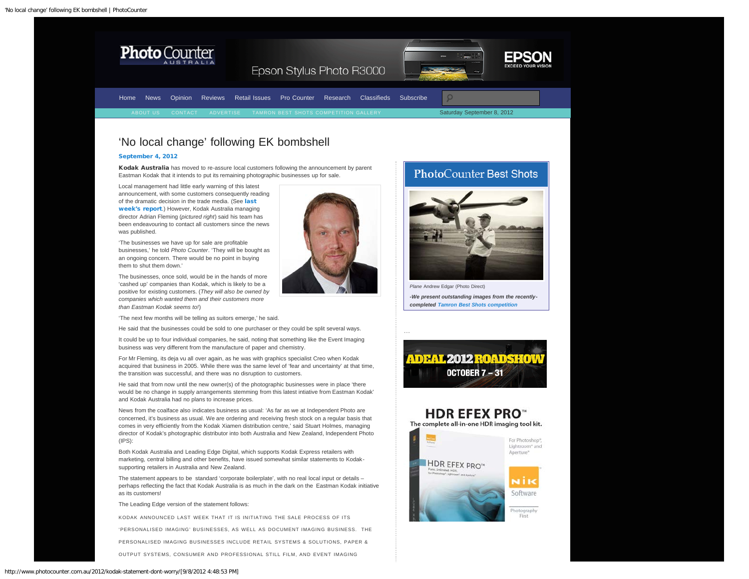<span id="page-0-0"></span>





Epson Stylus Photo R3000

|  |  | Home News Opinion Reviews Retail Issues Pro Counter Research Classifieds Subscribe |  |  |                            |
|--|--|------------------------------------------------------------------------------------|--|--|----------------------------|
|  |  | RESPORT US CONTACT ADVERTISE TAMRON BEST SHOTS COMPETITION GALLERY                 |  |  | Saturday September 8, 2012 |

## 'No local change' following EK bombshell

## [September 4, 2012](#page-0-0)

Kodak Australia has moved to re-assure local customers following the announcement by parent Eastman Kodak that it intends to put its remaining photographic businesses up for sale.

Local management had little early warning of this latest announcement, with some customers consequently reading of the dramatic decision in the trade media. (See [last](http://www.photocounter.com.au/2012/kodak-photo-business-for-sale/) [week's report](http://www.photocounter.com.au/2012/kodak-photo-business-for-sale/).) However, Kodak Australia managing director Adrian Fleming (*pictured right*) said his team has been endeavouring to contact all customers since the news was published.

'The businesses we have up for sale are profitable businesses,' he told *Photo Counter*. 'They will be bought as an ongoing concern. There would be no point in buying them to shut them down.'

The businesses, once sold, would be in the hands of more 'cashed up' companies than Kodak, which is likely to be a positive for existing customers. (*They will also be owned by companies which wanted them and their customers more than Eastman Kodak seems to!*)

'The next few months will be telling as suitors emerge,' he said.

He said that the businesses could be sold to one purchaser or they could be split several ways.

It could be up to four individual companies, he said, noting that something like the Event Imaging business was very different from the manufacture of paper and chemistry.

For Mr Fleming, its deja vu all over again, as he was with graphics specialist Creo when Kodak acquired that business in 2005. While there was the same level of 'fear and uncertainty' at that time, the transition was successful, and there was no disruption to customers.

He said that from now until the new owner(s) of the photographic businesses were in place 'there would be no change in supply arrangements stemming from this latest intiative from Eastman Kodak' and Kodak Australia had no plans to increase prices.

News from the coalface also indicates business as usual: 'As far as we at Independent Photo are concerned, it's business as usual. We are ordering and receiving fresh stock on a regular basis that comes in very efficiently from the Kodak Xiamen distribution centre,' said Stuart Holmes, managing director of Kodak's photographic distributor into both Australia and New Zealand, Independent Photo (IPS):

Both Kodak Australia and Leading Edge Digital, which supports Kodak Express retailers with marketing, central billing and other benefits, have issued somewhat similar statements to Kodaksupporting retailers in Australia and New Zealand.

The statement appears to be standard 'corporate boilerplate', with no real local input or details – perhaps reflecting the fact that Kodak Australia is as much in the dark on the Eastman Kodak initiative as its customers!

The Leading Edge version of the statement follows:

KODAK ANNOUNCED LAST WEEK THAT IT IS INITIATING THE SALE PROCESS OF ITS

'PERSONALISED IMAGING' BUSINESSES, AS WELL AS DOCUMENT IMAGING BUSINESS. THE

PERSONALISED IMAGING BUSINESSES INCLUDE RETAIL SYSTEMS & SOLUTIONS, PAPER &

OUTPUT SYSTEMS, CONSUMER AND PROFESSIONAL STILL FILM, AND EVENT IMAGING





*Plane* Andrew Edgar (Photo Direct) *-We present outstanding images from the recentlycompleted [Tamron Best Shots competition](http://www.photocounter.com.au/tamron-gallery/)*



…